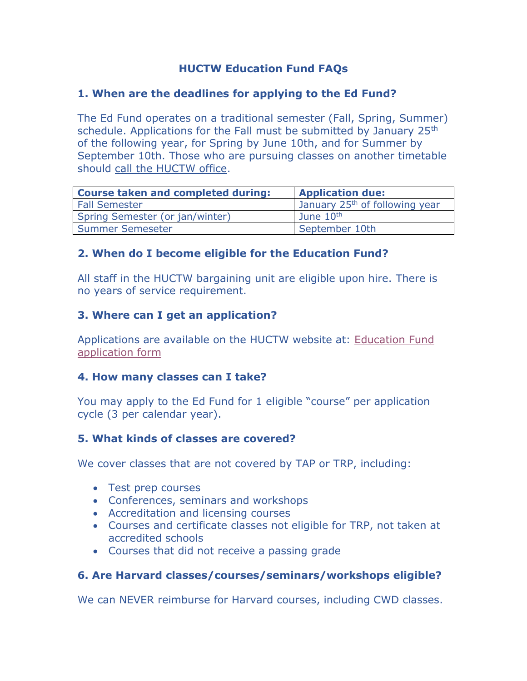# **HUCTW Education Fund FAQs**

#### **1. When are the deadlines for applying to the Ed Fund?**

The Ed Fund operates on a traditional semester (Fall, Spring, Summer) schedule. Applications for the Fall must be submitted by January 25<sup>th</sup> of the following year, for Spring by June 10th, and for Summer by September 10th. Those who are pursuing classes on another timetable should [call the HUCTW](https://huctw.org/about-us/contact-huctw) office.

| <b>Course taken and completed during:</b> | <b>Application due:</b>                    |
|-------------------------------------------|--------------------------------------------|
| <b>Fall Semester</b>                      | January 25 <sup>th</sup> of following year |
| Spring Semester (or jan/winter)           | June $10th$                                |
| Summer Semeseter                          | September 10th                             |

# **2. When do I become eligible for the Education Fund?**

All staff in the HUCTW bargaining unit are eligible upon hire. There is no years of service requirement.

# **3. Where can I get an application?**

Applications are available on the HUCTW website at: [Education Fund](http://www.huctw.org/fund_ed/ed_app.pdf)  [application form](http://www.huctw.org/fund_ed/ed_app.pdf)

#### **4. How many classes can I take?**

You may apply to the Ed Fund for 1 eligible "course" per application cycle (3 per calendar year).

# **5. What kinds of classes are covered?**

We cover classes that are not covered by TAP or TRP, including:

- Test prep courses
- Conferences, seminars and workshops
- Accreditation and licensing courses
- Courses and certificate classes not eligible for TRP, not taken at accredited schools
- Courses that did not receive a passing grade

# **6. Are Harvard classes/courses/seminars/workshops eligible?**

We can NEVER reimburse for Harvard courses, including CWD classes.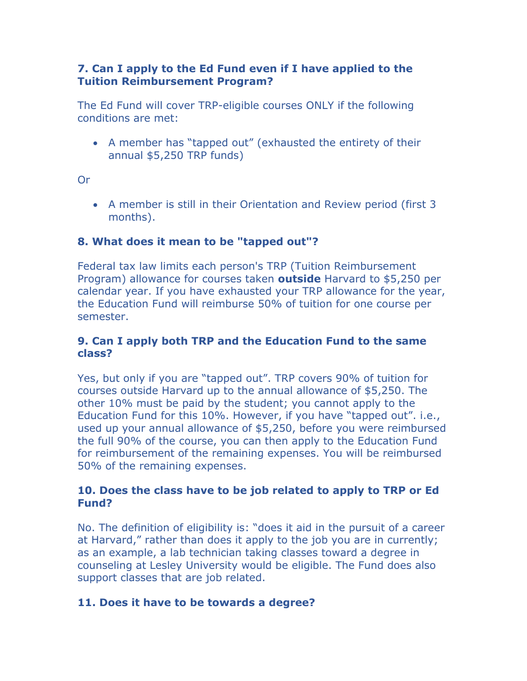#### **7. Can I apply to the Ed Fund even if I have applied to the Tuition Reimbursement Program?**

The Ed Fund will cover TRP-eligible courses ONLY if the following conditions are met:

• A member has "tapped out" (exhausted the entirety of their annual \$5,250 TRP funds)

Or

• A member is still in their Orientation and Review period (first 3 months).

# **8. What does it mean to be "tapped out"?**

Federal tax law limits each person's TRP (Tuition Reimbursement Program) allowance for courses taken **outside** Harvard to \$5,250 per calendar year. If you have exhausted your TRP allowance for the year, the Education Fund will reimburse 50% of tuition for one course per semester.

#### **9. Can I apply both TRP and the Education Fund to the same class?**

Yes, but only if you are "tapped out". TRP covers 90% of tuition for courses outside Harvard up to the annual allowance of \$5,250. The other 10% must be paid by the student; you cannot apply to the Education Fund for this 10%. However, if you have "tapped out". i.e., used up your annual allowance of \$5,250, before you were reimbursed the full 90% of the course, you can then apply to the Education Fund for reimbursement of the remaining expenses. You will be reimbursed 50% of the remaining expenses.

#### **10. Does the class have to be job related to apply to TRP or Ed Fund?**

No. The definition of eligibility is: "does it aid in the pursuit of a career at Harvard," rather than does it apply to the job you are in currently; as an example, a lab technician taking classes toward a degree in counseling at Lesley University would be eligible. The Fund does also support classes that are job related.

# **11. Does it have to be towards a degree?**